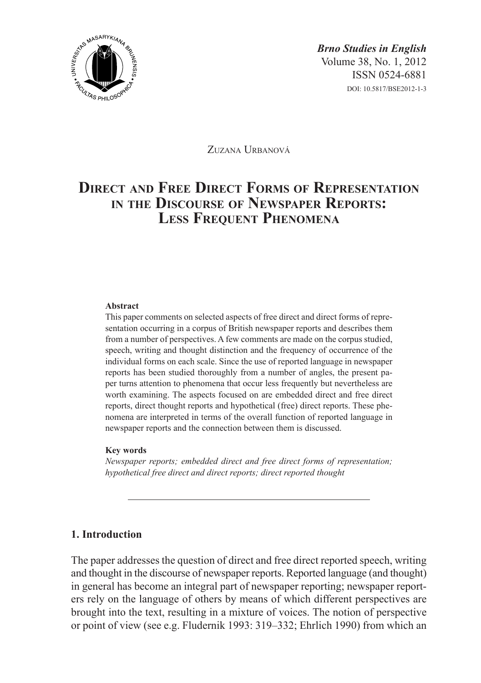

Zuzana Urbanová

# **Direct and Free Direct Forms of Representation in the Discourse of Newspaper Reports: Less Frequent Phenomena**

#### **Abstract**

This paper comments on selected aspects of free direct and direct forms of representation occurring in a corpus of British newspaper reports and describes them from a number of perspectives. A few comments are made on the corpus studied, speech, writing and thought distinction and the frequency of occurrence of the individual forms on each scale. Since the use of reported language in newspaper reports has been studied thoroughly from a number of angles, the present paper turns attention to phenomena that occur less frequently but nevertheless are worth examining. The aspects focused on are embedded direct and free direct reports, direct thought reports and hypothetical (free) direct reports. These phenomena are interpreted in terms of the overall function of reported language in newspaper reports and the connection between them is discussed.

#### **Key words**

*Newspaper reports; embedded direct and free direct forms of representation; hypothetical free direct and direct reports; direct reported thought*

# **1. Introduction**

The paper addresses the question of direct and free direct reported speech, writing and thought in the discourse of newspaper reports. Reported language (and thought) in general has become an integral part of newspaper reporting; newspaper reporters rely on the language of others by means of which different perspectives are brought into the text, resulting in a mixture of voices. The notion of perspective or point of view (see e.g. Fludernik 1993: 319–332; Ehrlich 1990) from which an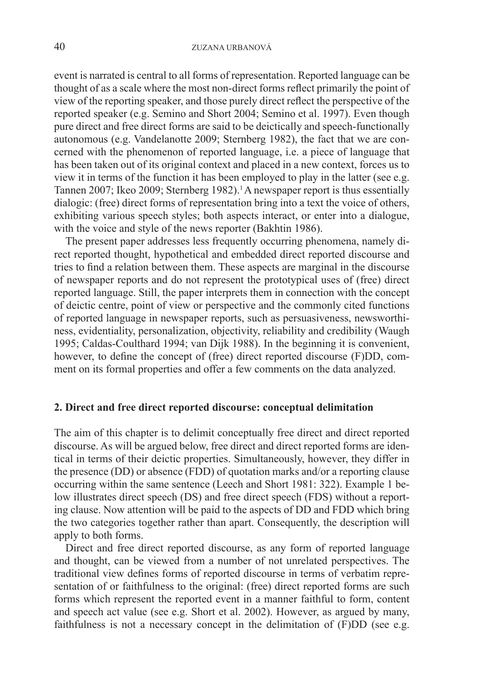event is narrated is central to all forms of representation. Reported language can be thought of as a scale where the most non-direct forms reflect primarily the point of view of the reporting speaker, and those purely direct reflect the perspective of the reported speaker (e.g. Semino and Short 2004; Semino et al. 1997). Even though pure direct and free direct forms are said to be deictically and speech-functionally autonomous (e.g. Vandelanotte 2009; Sternberg 1982), the fact that we are concerned with the phenomenon of reported language, i.e. a piece of language that has been taken out of its original context and placed in a new context, forces us to view it in terms of the function it has been employed to play in the latter (see e.g. Tannen 2007; Ikeo 2009; Sternberg 1982).<sup>1</sup> A newspaper report is thus essentially dialogic: (free) direct forms of representation bring into a text the voice of others, exhibiting various speech styles; both aspects interact, or enter into a dialogue, with the voice and style of the news reporter (Bakhtin 1986).

The present paper addresses less frequently occurring phenomena, namely direct reported thought, hypothetical and embedded direct reported discourse and tries to find a relation between them. These aspects are marginal in the discourse of newspaper reports and do not represent the prototypical uses of (free) direct reported language. Still, the paper interprets them in connection with the concept of deictic centre, point of view or perspective and the commonly cited functions of reported language in newspaper reports, such as persuasiveness, newsworthiness, evidentiality, personalization, objectivity, reliability and credibility (Waugh 1995; Caldas-Coulthard 1994; van Dijk 1988). In the beginning it is convenient, however, to define the concept of (free) direct reported discourse (F)DD, comment on its formal properties and offer a few comments on the data analyzed.

# **2. Direct and free direct reported discourse: conceptual delimitation**

The aim of this chapter is to delimit conceptually free direct and direct reported discourse. As will be argued below, free direct and direct reported forms are identical in terms of their deictic properties. Simultaneously, however, they differ in the presence (DD) or absence (FDD) of quotation marks and/or a reporting clause occurring within the same sentence (Leech and Short 1981: 322). Example 1 below illustrates direct speech (DS) and free direct speech (FDS) without a reporting clause. Now attention will be paid to the aspects of DD and FDD which bring the two categories together rather than apart. Consequently, the description will apply to both forms.

Direct and free direct reported discourse, as any form of reported language and thought, can be viewed from a number of not unrelated perspectives. The traditional view defines forms of reported discourse in terms of verbatim representation of or faithfulness to the original: (free) direct reported forms are such forms which represent the reported event in a manner faithful to form, content and speech act value (see e.g. Short et al. 2002). However, as argued by many, faithfulness is not a necessary concept in the delimitation of (F)DD (see e.g.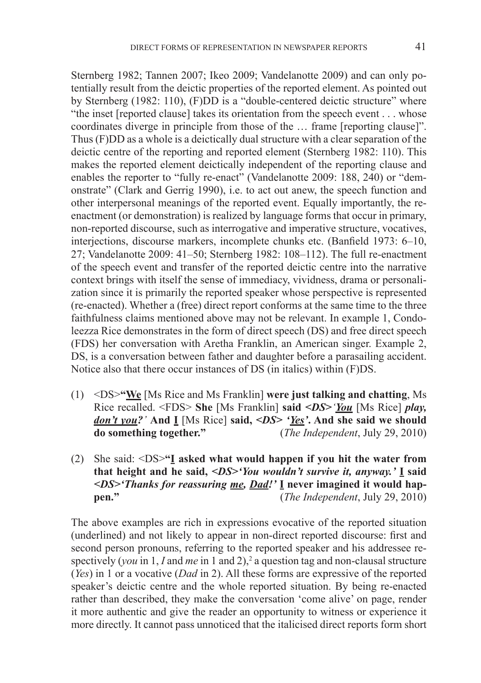Sternberg 1982; Tannen 2007; Ikeo 2009; Vandelanotte 2009) and can only potentially result from the deictic properties of the reported element. As pointed out by Sternberg (1982: 110), (F)DD is a "double-centered deictic structure" where "the inset [reported clause] takes its orientation from the speech event . . . whose coordinates diverge in principle from those of the … frame [reporting clause]". Thus (F)DD as a whole is a deictically dual structure with a clear separation of the deictic centre of the reporting and reported element (Sternberg 1982: 110). This makes the reported element deictically independent of the reporting clause and enables the reporter to "fully re-enact" (Vandelanotte 2009: 188, 240) or "demonstrate" (Clark and Gerrig 1990), i.e. to act out anew, the speech function and other interpersonal meanings of the reported event. Equally importantly, the reenactment (or demonstration) is realized by language forms that occur in primary, non-reported discourse, such as interrogative and imperative structure, vocatives, interjections, discourse markers, incomplete chunks etc. (Banfield 1973: 6–10, 27; Vandelanotte 2009: 41–50; Sternberg 1982: 108–112). The full re-enactment of the speech event and transfer of the reported deictic centre into the narrative context brings with itself the sense of immediacy, vividness, drama or personalization since it is primarily the reported speaker whose perspective is represented (re-enacted). Whether a (free) direct report conforms at the same time to the three faithfulness claims mentioned above may not be relevant. In example 1, Condoleezza Rice demonstrates in the form of direct speech (DS) and free direct speech (FDS) her conversation with Aretha Franklin, an American singer. Example 2, DS, is a conversation between father and daughter before a parasailing accident. Notice also that there occur instances of DS (in italics) within (F)DS.

- (1) <DS>**"We** [Ms Rice and Ms Franklin] **were just talking and chatting**, Ms Rice recalled. <FDS> **She** [Ms Franklin] **said** *<DS>'You* [Ms Rice] *play, don't you?'* **And I** [Ms Rice] **said,** *<DS> 'Yes'***. And she said we should**  (*The Independent*, July 29, 2010)
- (2) She said: <DS>**"I asked what would happen if you hit the water from that height and he said,** *<DS>'You wouldn't survive it, anyway.'* **I said**  *<DS>'Thanks for reassuring me, Dad!'* **I never imagined it would happen."** (*The Independent*, July 29, 2010)

The above examples are rich in expressions evocative of the reported situation (underlined) and not likely to appear in non-direct reported discourse: first and second person pronouns, referring to the reported speaker and his addressee respectively (*you* in 1, *I* and *me* in 1 and 2),<sup>2</sup> a question tag and non-clausal structure (*Yes*) in 1 or a vocative (*Dad* in 2). All these forms are expressive of the reported speaker's deictic centre and the whole reported situation. By being re-enacted rather than described, they make the conversation 'come alive' on page, render it more authentic and give the reader an opportunity to witness or experience it more directly. It cannot pass unnoticed that the italicised direct reports form short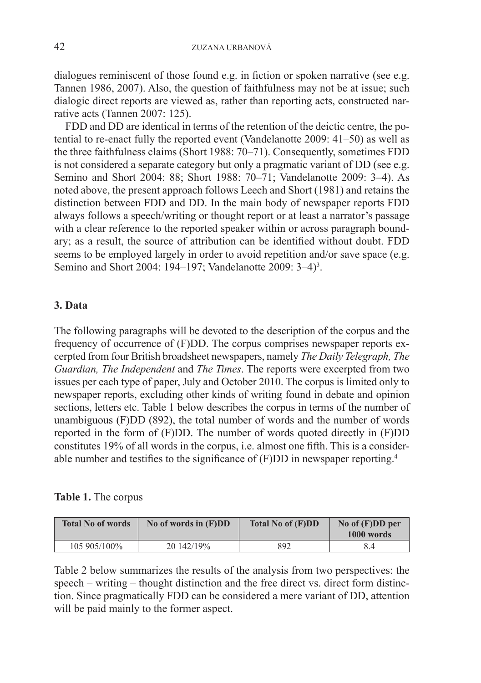dialogues reminiscent of those found e.g. in fiction or spoken narrative (see e.g. Tannen 1986, 2007). Also, the question of faithfulness may not be at issue; such dialogic direct reports are viewed as, rather than reporting acts, constructed narrative acts (Tannen 2007: 125).

FDD and DD are identical in terms of the retention of the deictic centre, the potential to re-enact fully the reported event (Vandelanotte 2009: 41–50) as well as the three faithfulness claims (Short 1988: 70–71). Consequently, sometimes FDD is not considered a separate category but only a pragmatic variant of DD (see e.g. Semino and Short 2004: 88; Short 1988: 70–71; Vandelanotte 2009: 3–4). As noted above, the present approach follows Leech and Short (1981) and retains the distinction between FDD and DD. In the main body of newspaper reports FDD always follows a speech/writing or thought report or at least a narrator's passage with a clear reference to the reported speaker within or across paragraph boundary; as a result, the source of attribution can be identified without doubt. FDD seems to be employed largely in order to avoid repetition and/or save space (e.g. Semino and Short 2004: 194–197; Vandelanotte 2009: 3–4)<sup>3</sup>.

# **3. Data**

The following paragraphs will be devoted to the description of the corpus and the frequency of occurrence of (F)DD. The corpus comprises newspaper reports excerpted from four British broadsheet newspapers, namely *The Daily Telegraph, The Guardian, The Independent* and *The Times*. The reports were excerpted from two issues per each type of paper, July and October 2010. The corpus is limited only to newspaper reports, excluding other kinds of writing found in debate and opinion sections, letters etc. Table 1 below describes the corpus in terms of the number of unambiguous (F)DD (892), the total number of words and the number of words reported in the form of (F)DD. The number of words quoted directly in (F)DD constitutes 19% of all words in the corpus, i.e. almost one fifth. This is a considerable number and testifies to the significance of (F)DD in newspaper reporting.<sup>4</sup>

# **Table 1.** The corpus

| <b>Total No of words</b> | No of words in $(F)DD$ | Total No of (F)DD | No of $(F)DD$ per<br>1000 words |
|--------------------------|------------------------|-------------------|---------------------------------|
| 105 905/100%             | 20 142/19%             | 892               |                                 |

Table 2 below summarizes the results of the analysis from two perspectives: the speech – writing – thought distinction and the free direct vs. direct form distinction. Since pragmatically FDD can be considered a mere variant of DD, attention will be paid mainly to the former aspect.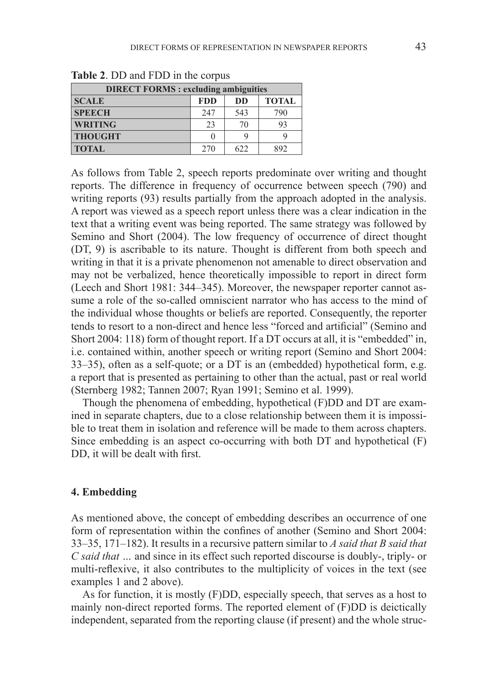| <b>DIRECT FORMS: excluding ambiguities</b> |               |           |              |  |  |  |  |  |
|--------------------------------------------|---------------|-----------|--------------|--|--|--|--|--|
| <b>SCALE</b>                               | <b>FDD</b>    | <b>DD</b> | <b>TOTAL</b> |  |  |  |  |  |
| <b>SPEECH</b>                              | 247           | 543       | 790          |  |  |  |  |  |
| <b>WRITING</b>                             | 23            | 70        | 93           |  |  |  |  |  |
| <b>THOUGHT</b>                             | $\mathcal{L}$ |           |              |  |  |  |  |  |
| <b>TOTAL</b>                               | 270           | 622       | 892          |  |  |  |  |  |

**Table 2**. DD and FDD in the corpus

As follows from Table 2, speech reports predominate over writing and thought reports. The difference in frequency of occurrence between speech (790) and writing reports (93) results partially from the approach adopted in the analysis. A report was viewed as a speech report unless there was a clear indication in the text that a writing event was being reported. The same strategy was followed by Semino and Short (2004). The low frequency of occurrence of direct thought (DT, 9) is ascribable to its nature. Thought is different from both speech and writing in that it is a private phenomenon not amenable to direct observation and may not be verbalized, hence theoretically impossible to report in direct form (Leech and Short 1981: 344–345). Moreover, the newspaper reporter cannot assume a role of the so-called omniscient narrator who has access to the mind of the individual whose thoughts or beliefs are reported. Consequently, the reporter tends to resort to a non-direct and hence less "forced and artificial" (Semino and Short 2004: 118) form of thought report. If a DT occurs at all, it is "embedded" in, i.e. contained within, another speech or writing report (Semino and Short 2004: 33–35), often as a self-quote; or a DT is an (embedded) hypothetical form, e.g. a report that is presented as pertaining to other than the actual, past or real world (Sternberg 1982; Tannen 2007; Ryan 1991; Semino et al. 1999).

Though the phenomena of embedding, hypothetical (F)DD and DT are examined in separate chapters, due to a close relationship between them it is impossible to treat them in isolation and reference will be made to them across chapters. Since embedding is an aspect co-occurring with both DT and hypothetical (F) DD, it will be dealt with first.

#### **4. Embedding**

As mentioned above, the concept of embedding describes an occurrence of one form of representation within the confines of another (Semino and Short 2004: 33–35, 171–182). It results in a recursive pattern similar to *A said that B said that C said that …* and since in its effect such reported discourse is doubly-, triply- or multi-reflexive, it also contributes to the multiplicity of voices in the text (see examples 1 and 2 above).

As for function, it is mostly (F)DD, especially speech, that serves as a host to mainly non-direct reported forms. The reported element of (F)DD is deictically independent, separated from the reporting clause (if present) and the whole struc-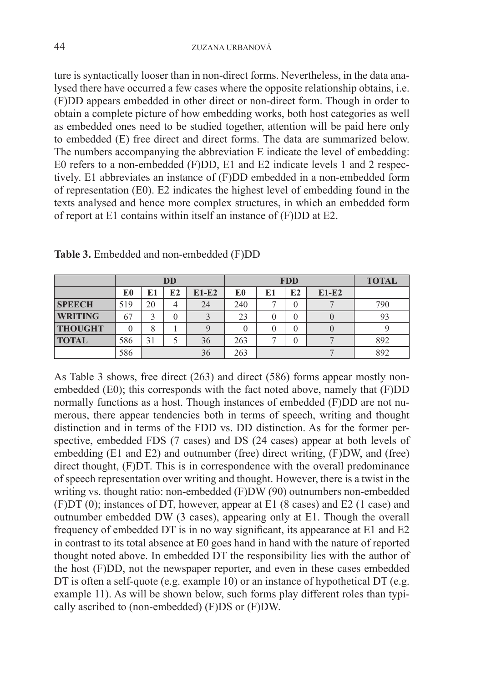ture is syntactically looser than in non-direct forms. Nevertheless, in the data analysed there have occurred a few cases where the opposite relationship obtains, i.e. (F)DD appears embedded in other direct or non-direct form. Though in order to obtain a complete picture of how embedding works, both host categories as well as embedded ones need to be studied together, attention will be paid here only to embedded (E) free direct and direct forms. The data are summarized below. The numbers accompanying the abbreviation E indicate the level of embedding: E0 refers to a non-embedded (F)DD, E1 and E2 indicate levels 1 and 2 respectively. E1 abbreviates an instance of (F)DD embedded in a non-embedded form of representation (E0). E2 indicates the highest level of embedding found in the texts analysed and hence more complex structures, in which an embedded form of report at E1 contains within itself an instance of (F)DD at E2.

|                | <b>DD</b> |    |    | <b>FDD</b> |     |    |    | <b>TOTAL</b> |     |
|----------------|-----------|----|----|------------|-----|----|----|--------------|-----|
|                | E0        | E1 | E2 | $E1-E2$    | E0  | E1 | E2 | $E1-E2$      |     |
| <b>SPEECH</b>  | 519       | 20 | 4  | 24         | 240 |    |    |              | 790 |
| <b>WRITING</b> | 67        | ς  |    |            | 23  |    |    |              | 93  |
| <b>THOUGHT</b> |           | 8  |    |            | 0   |    |    |              |     |
| <b>TOTAL</b>   | 586       | 31 |    | 36         | 263 |    |    |              | 892 |
|                | 586       |    |    | 36         | 263 |    |    |              | 892 |

**Table 3.** Embedded and non-embedded (F)DD

As Table 3 shows, free direct (263) and direct (586) forms appear mostly nonembedded (E0); this corresponds with the fact noted above, namely that (F)DD normally functions as a host. Though instances of embedded (F)DD are not numerous, there appear tendencies both in terms of speech, writing and thought distinction and in terms of the FDD vs. DD distinction. As for the former perspective, embedded FDS (7 cases) and DS (24 cases) appear at both levels of embedding (E1 and E2) and outnumber (free) direct writing, (F)DW, and (free) direct thought, (F)DT. This is in correspondence with the overall predominance of speech representation over writing and thought. However, there is a twist in the writing vs. thought ratio: non-embedded (F)DW (90) outnumbers non-embedded (F)DT (0); instances of DT, however, appear at E1 (8 cases) and E2 (1 case) and outnumber embedded DW (3 cases), appearing only at E1. Though the overall frequency of embedded DT is in no way significant, its appearance at E1 and E2 in contrast to its total absence at E0 goes hand in hand with the nature of reported thought noted above. In embedded DT the responsibility lies with the author of the host (F)DD, not the newspaper reporter, and even in these cases embedded DT is often a self-quote (e.g. example 10) or an instance of hypothetical DT (e.g. example 11). As will be shown below, such forms play different roles than typically ascribed to (non-embedded) (F)DS or (F)DW.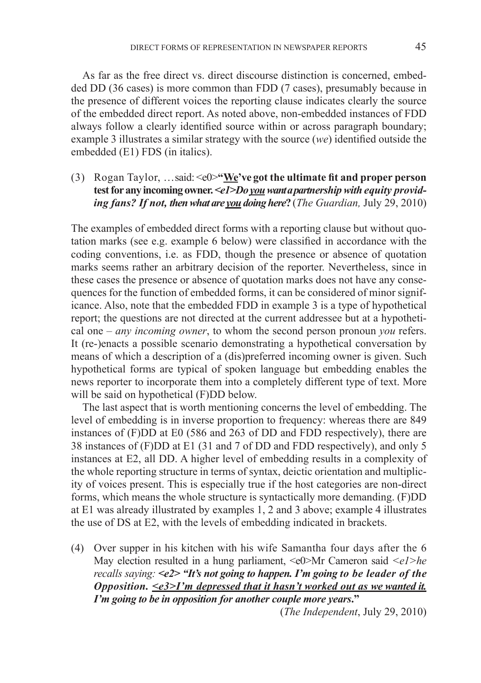As far as the free direct vs. direct discourse distinction is concerned, embedded DD (36 cases) is more common than FDD (7 cases), presumably because in the presence of different voices the reporting clause indicates clearly the source of the embedded direct report. As noted above, non-embedded instances of FDD always follow a clearly identified source within or across paragraph boundary; example 3 illustrates a similar strategy with the source (*we*) identified outside the embedded (E1) FDS (in italics).

(3) Rogan Taylor, …said: <e0>**"We've got the ultimate fit and proper person test for any incoming owner.** *<e1>Do you want apartnership with equity providing fans? If not, then what are you doing here***?** (*The Guardian,* July 29, 2010)

The examples of embedded direct forms with a reporting clause but without quotation marks (see e.g. example 6 below) were classified in accordance with the coding conventions, i.e. as FDD, though the presence or absence of quotation marks seems rather an arbitrary decision of the reporter. Nevertheless, since in these cases the presence or absence of quotation marks does not have any consequences for the function of embedded forms, it can be considered of minor significance. Also, note that the embedded FDD in example 3 is a type of hypothetical report; the questions are not directed at the current addressee but at a hypothetical one – *any incoming owner*, to whom the second person pronoun *you* refers. It (re-)enacts a possible scenario demonstrating a hypothetical conversation by means of which a description of a (dis)preferred incoming owner is given. Such hypothetical forms are typical of spoken language but embedding enables the news reporter to incorporate them into a completely different type of text. More will be said on hypothetical (F)DD below.

The last aspect that is worth mentioning concerns the level of embedding. The level of embedding is in inverse proportion to frequency: whereas there are 849 instances of (F)DD at E0 (586 and 263 of DD and FDD respectively), there are 38 instances of (F)DD at E1 (31 and 7 of DD and FDD respectively), and only 5 instances at E2, all DD. A higher level of embedding results in a complexity of the whole reporting structure in terms of syntax, deictic orientation and multiplicity of voices present. This is especially true if the host categories are non-direct forms, which means the whole structure is syntactically more demanding. (F)DD at E1 was already illustrated by examples 1, 2 and 3 above; example 4 illustrates the use of DS at E2, with the levels of embedding indicated in brackets.

(4) Over supper in his kitchen with his wife Samantha four days after the 6 May election resulted in a hung parliament, <e0>Mr Cameron said *<e1>he recalls saying: <e2> "It's not going to happen. I'm going to be leader of the Opposition. <e3>I'm depressed that it hasn't worked out as we wanted it. I'm going to be in opposition for another couple more years***."**

(*The Independent*, July 29, 2010)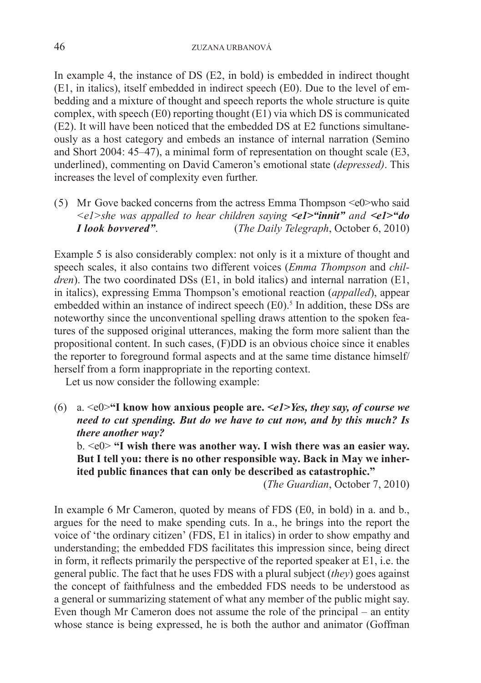46 ZUZANA URBANOVÁ

In example 4, the instance of DS (E2, in bold) is embedded in indirect thought (E1, in italics), itself embedded in indirect speech (E0). Due to the level of embedding and a mixture of thought and speech reports the whole structure is quite complex, with speech (E0) reporting thought (E1) via which DS is communicated (E2). It will have been noticed that the embedded DS at E2 functions simultaneously as a host category and embeds an instance of internal narration (Semino and Short 2004: 45–47), a minimal form of representation on thought scale (E3, underlined), commenting on David Cameron's emotional state (*depressed)*. This increases the level of complexity even further.

(5) Mr Gove backed concerns from the actress Emma Thompson  $\leq e$  who said *<e1>she was appalled to hear children saying <e1>"innit" and <e1>"do I look bovvered"*. (*The Daily Telegraph*, October 6, 2010)

Example 5 is also considerably complex: not only is it a mixture of thought and speech scales, it also contains two different voices (*Emma Thompson* and *children*). The two coordinated DSs (E1, in bold italics) and internal narration (E1, in italics), expressing Emma Thompson's emotional reaction (*appalled*), appear embedded within an instance of indirect speech  $(E0)$ .<sup>5</sup> In addition, these DSs are noteworthy since the unconventional spelling draws attention to the spoken features of the supposed original utterances, making the form more salient than the propositional content. In such cases, (F)DD is an obvious choice since it enables the reporter to foreground formal aspects and at the same time distance himself/ herself from a form inappropriate in the reporting context.

Let us now consider the following example:

(6) a. <e0>**"I know how anxious people are.** *<e1>Yes, they say, of course we need to cut spending. But do we have to cut now, and by this much? Is there another way?* 

b. <e0> **"I wish there was another way. I wish there was an easier way. But I tell you: there is no other responsible way. Back in May we inherited public finances that can only be described as catastrophic."**

(*The Guardian*, October 7, 2010)

In example 6 Mr Cameron, quoted by means of FDS (E0, in bold) in a. and b., argues for the need to make spending cuts. In a., he brings into the report the voice of 'the ordinary citizen' (FDS, E1 in italics) in order to show empathy and understanding; the embedded FDS facilitates this impression since, being direct in form, it reflects primarily the perspective of the reported speaker at E1, i.e. the general public. The fact that he uses FDS with a plural subject (*they*) goes against the concept of faithfulness and the embedded FDS needs to be understood as a general or summarizing statement of what any member of the public might say. Even though Mr Cameron does not assume the role of the principal – an entity whose stance is being expressed, he is both the author and animator (Goffman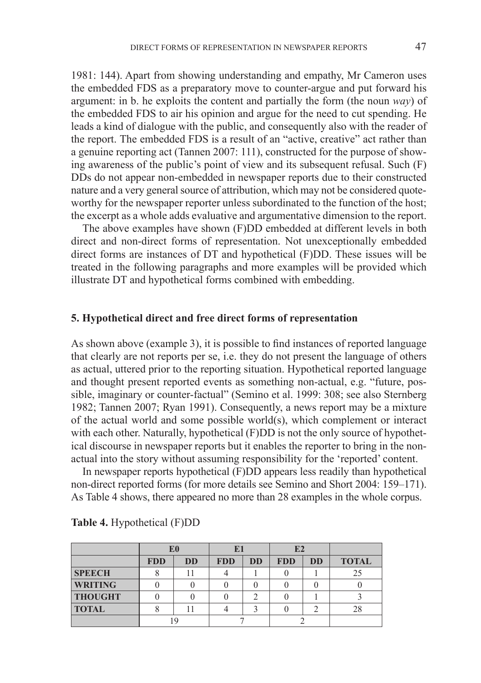the embedded FDS as a preparatory move to counter-argue and put forward his argument: in b. he exploits the content and partially the form (the noun *way*) of the embedded FDS to air his opinion and argue for the need to cut spending. He leads a kind of dialogue with the public, and consequently also with the reader of the report. The embedded FDS is a result of an "active, creative" act rather than a genuine reporting act (Tannen 2007: 111), constructed for the purpose of showing awareness of the public's point of view and its subsequent refusal. Such (F) DDs do not appear non-embedded in newspaper reports due to their constructed nature and a very general source of attribution, which may not be considered quoteworthy for the newspaper reporter unless subordinated to the function of the host; the excerpt as a whole adds evaluative and argumentative dimension to the report.

The above examples have shown (F)DD embedded at different levels in both direct and non-direct forms of representation. Not unexceptionally embedded direct forms are instances of DT and hypothetical (F)DD. These issues will be treated in the following paragraphs and more examples will be provided which illustrate DT and hypothetical forms combined with embedding.

### **5. Hypothetical direct and free direct forms of representation**

As shown above (example 3), it is possible to find instances of reported language that clearly are not reports per se, i.e. they do not present the language of others as actual, uttered prior to the reporting situation. Hypothetical reported language and thought present reported events as something non-actual, e.g. "future, possible, imaginary or counter-factual" (Semino et al. 1999: 308; see also Sternberg 1982; Tannen 2007; Ryan 1991). Consequently, a news report may be a mixture of the actual world and some possible world(s), which complement or interact with each other. Naturally, hypothetical (F)DD is not the only source of hypothetical discourse in newspaper reports but it enables the reporter to bring in the nonactual into the story without assuming responsibility for the 'reported' content.

In newspaper reports hypothetical (F)DD appears less readily than hypothetical non-direct reported forms (for more details see Semino and Short 2004: 159–171). As Table 4 shows, there appeared no more than 28 examples in the whole corpus.

|                | E0         |           | IJ         |           | E2         |           |              |
|----------------|------------|-----------|------------|-----------|------------|-----------|--------------|
|                | <b>FDD</b> | <b>DD</b> | <b>FDD</b> | <b>DD</b> | <b>FDD</b> | <b>DD</b> | <b>TOTAL</b> |
| <b>SPEECH</b>  |            |           |            |           |            |           |              |
| <b>WRITING</b> |            |           |            |           |            |           |              |
| <b>THOUGHT</b> |            |           |            |           |            |           |              |
| <b>TOTAL</b>   |            |           |            |           |            |           |              |
|                |            |           |            |           |            |           |              |

|  |  | <b>Table 4.</b> Hypothetical (F)DD |  |  |
|--|--|------------------------------------|--|--|
|--|--|------------------------------------|--|--|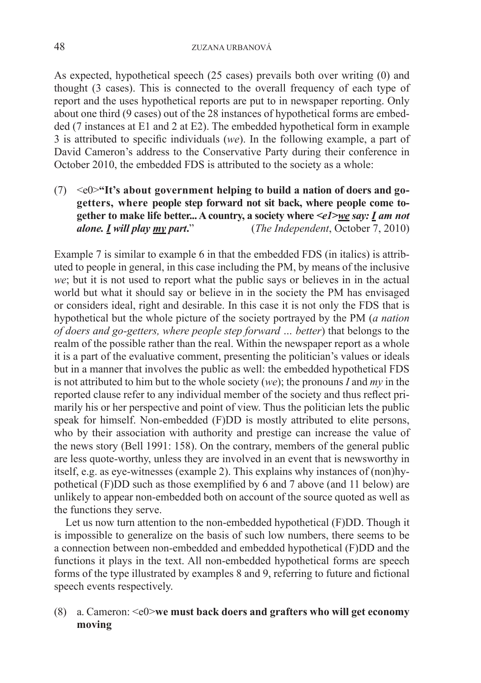As expected, hypothetical speech (25 cases) prevails both over writing (0) and thought (3 cases). This is connected to the overall frequency of each type of report and the uses hypothetical reports are put to in newspaper reporting. Only about one third (9 cases) out of the 28 instances of hypothetical forms are embedded (7 instances at E1 and 2 at E2). The embedded hypothetical form in example 3 is attributed to specific individuals (*we*). In the following example, a part of David Cameron's address to the Conservative Party during their conference in October 2010, the embedded FDS is attributed to the society as a whole:

(7) <e0>**"It's about government helping to build a nation of doers and gogetters, where people step forward not sit back, where people come together to make life better... A country, a society where** *<e1>we say: I am not alone. I will play my part***.**" (*The Independent*, October 7, 2010)

Example 7 is similar to example 6 in that the embedded FDS (in italics) is attributed to people in general, in this case including the PM, by means of the inclusive *we*; but it is not used to report what the public says or believes in in the actual world but what it should say or believe in in the society the PM has envisaged or considers ideal, right and desirable. In this case it is not only the FDS that is hypothetical but the whole picture of the society portrayed by the PM (*a nation of doers and go-getters, where people step forward … better*) that belongs to the realm of the possible rather than the real. Within the newspaper report as a whole it is a part of the evaluative comment, presenting the politician's values or ideals but in a manner that involves the public as well: the embedded hypothetical FDS is not attributed to him but to the whole society (*we*); the pronouns *I* and *my* in the reported clause refer to any individual member of the society and thus reflect primarily his or her perspective and point of view. Thus the politician lets the public speak for himself. Non-embedded (F)DD is mostly attributed to elite persons, who by their association with authority and prestige can increase the value of the news story (Bell 1991: 158). On the contrary, members of the general public are less quote-worthy, unless they are involved in an event that is newsworthy in itself, e.g. as eye-witnesses (example 2). This explains why instances of (non)hypothetical (F)DD such as those exemplified by  $\vec{6}$  and 7 above (and 11 below) are unlikely to appear non-embedded both on account of the source quoted as well as the functions they serve.

Let us now turn attention to the non-embedded hypothetical (F)DD. Though it is impossible to generalize on the basis of such low numbers, there seems to be a connection between non-embedded and embedded hypothetical (F)DD and the functions it plays in the text. All non-embedded hypothetical forms are speech forms of the type illustrated by examples 8 and 9, referring to future and fictional speech events respectively.

# (8) a. Cameron: <e0>**we must back doers and grafters who will get economy moving**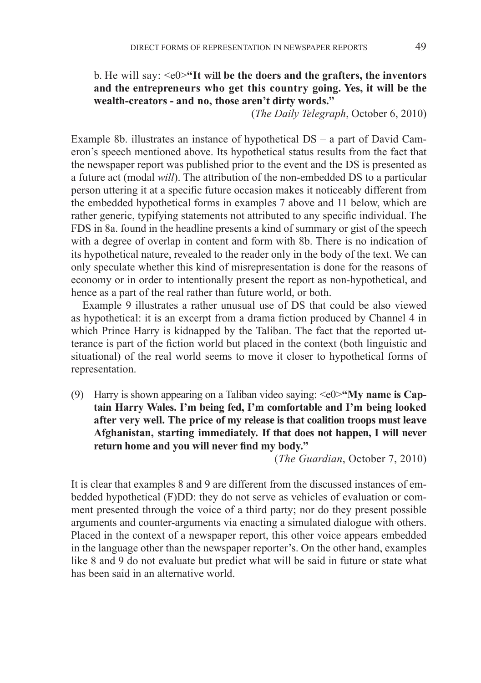# b. He will say: <e0>**"It will be the doers and the grafters, the inventors and the entrepreneurs who get this country going. Yes, it will be the wealth-creators - and no, those aren't dirty words."**

(*The Daily Telegraph*, October 6, 2010)

Example 8b. illustrates an instance of hypothetical DS – a part of David Cameron's speech mentioned above. Its hypothetical status results from the fact that the newspaper report was published prior to the event and the DS is presented as a future act (modal *will*). The attribution of the non-embedded DS to a particular person uttering it at a specific future occasion makes it noticeably different from the embedded hypothetical forms in examples 7 above and 11 below, which are rather generic, typifying statements not attributed to any specific individual. The FDS in 8a. found in the headline presents a kind of summary or gist of the speech with a degree of overlap in content and form with 8b. There is no indication of its hypothetical nature, revealed to the reader only in the body of the text. We can only speculate whether this kind of misrepresentation is done for the reasons of economy or in order to intentionally present the report as non-hypothetical, and hence as a part of the real rather than future world, or both.

Example 9 illustrates a rather unusual use of DS that could be also viewed as hypothetical: it is an excerpt from a drama fiction produced by Channel 4 in which Prince Harry is kidnapped by the Taliban. The fact that the reported utterance is part of the fiction world but placed in the context (both linguistic and situational) of the real world seems to move it closer to hypothetical forms of representation.

(9) Harry is shown appearing on a Taliban video saying: <e0>**"My name is Captain Harry Wales. I'm being fed, I'm comfortable and I'm being looked after very well. The price of my release is that coalition troops must leave Afghanistan, starting immediately. If that does not happen, I will never return home and you will never find my body."**

(*The Guardian*, October 7, 2010)

It is clear that examples 8 and 9 are different from the discussed instances of embedded hypothetical (F)DD: they do not serve as vehicles of evaluation or comment presented through the voice of a third party; nor do they present possible arguments and counter-arguments via enacting a simulated dialogue with others. Placed in the context of a newspaper report, this other voice appears embedded in the language other than the newspaper reporter's. On the other hand, examples like 8 and 9 do not evaluate but predict what will be said in future or state what has been said in an alternative world.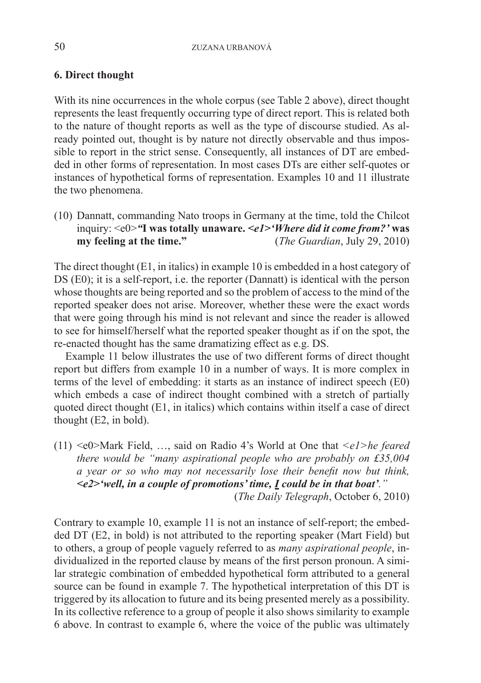# **6. Direct thought**

With its nine occurrences in the whole corpus (see Table 2 above), direct thought represents the least frequently occurring type of direct report. This is related both to the nature of thought reports as well as the type of discourse studied. As already pointed out, thought is by nature not directly observable and thus impos- $\frac{1}{2}$  sible to report in the strict sense. Consequently, all instances of DT are embedded in other forms of representation. In most cases DTs are either self-quotes or instances of hypothetical forms of representation. Examples 10 and 11 illustrate the two phenomena.

(10) Dannatt, commanding Nato troops in Germany at the time, told the Chilcot inquiry: <e0>*"***I was totally unaware.** *<e1>'Where did it come from?'* **was my feeling at the time."** (*The Guardian*, July 29, 2010)

The direct thought (E1, in italics) in example 10 is embedded in a host category of DS (E0); it is a self-report, i.e. the reporter (Dannatt) is identical with the person whose thoughts are being reported and so the problem of access to the mind of the reported speaker does not arise. Moreover, whether these were the exact words that were going through his mind is not relevant and since the reader is allowed to see for himself/herself what the reported speaker thought as if on the spot, the re-enacted thought has the same dramatizing effect as e.g. DS.

Example 11 below illustrates the use of two different forms of direct thought report but differs from example 10 in a number of ways. It is more complex in terms of the level of embedding: it starts as an instance of indirect speech (E0) which embeds a case of indirect thought combined with a stretch of partially quoted direct thought (E1, in italics) which contains within itself a case of direct thought (E2, in bold).

(11) <e0>Mark Field, …, said on Radio 4's World at One that *<e1>he feared there would be "many aspirational people who are probably on £35,004 a year or so who may not necessarily lose their benefit now but think, <e2>'well, in a couple of promotions' time, I could be in that boat'."* (*The Daily Telegraph*, October 6, 2010)

Contrary to example 10, example 11 is not an instance of self-report; the embedded DT (E2, in bold) is not attributed to the reporting speaker (Mart Field) but to others, a group of people vaguely referred to as *many aspirational people*, individualized in the reported clause by means of the first person pronoun. A similar strategic combination of embedded hypothetical form attributed to a general source can be found in example 7. The hypothetical interpretation of this DT is triggered by its allocation to future and its being presented merely as a possibility. In its collective reference to a group of people it also shows similarity to example 6 above. In contrast to example 6, where the voice of the public was ultimately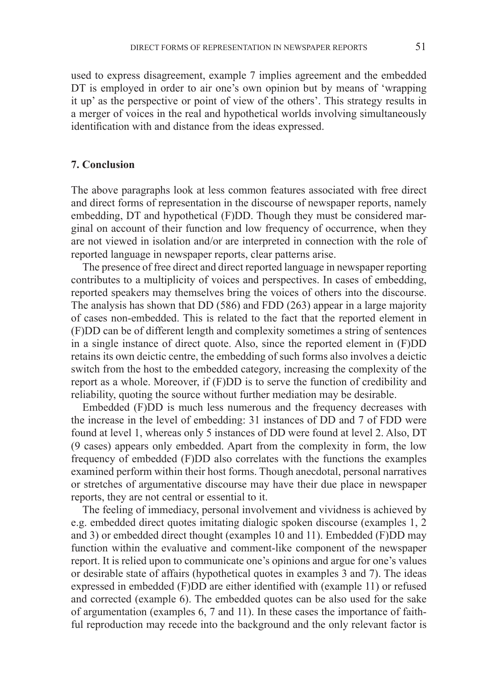used to express disagreement, example 7 implies agreement and the embedded DT is employed in order to air one's own opinion but by means of 'wrapping it up' as the perspective or point of view of the others'. This strategy results in a merger of voices in the real and hypothetical worlds involving simultaneously identification with and distance from the ideas expressed.

#### **7. Conclusion**

The above paragraphs look at less common features associated with free direct and direct forms of representation in the discourse of newspaper reports, namely embedding, DT and hypothetical (F)DD. Though they must be considered marginal on account of their function and low frequency of occurrence, when they are not viewed in isolation and/or are interpreted in connection with the role of reported language in newspaper reports, clear patterns arise.

The presence of free direct and direct reported language in newspaper reporting contributes to a multiplicity of voices and perspectives. In cases of embedding, reported speakers may themselves bring the voices of others into the discourse. The analysis has shown that DD (586) and FDD (263) appear in a large majority of cases non-embedded. This is related to the fact that the reported element in (F)DD can be of different length and complexity sometimes a string of sentences in a single instance of direct quote. Also, since the reported element in (F)DD retains its own deictic centre, the embedding of such forms also involves a deictic switch from the host to the embedded category, increasing the complexity of the report as a whole. Moreover, if (F)DD is to serve the function of credibility and reliability, quoting the source without further mediation may be desirable.

Embedded (F)DD is much less numerous and the frequency decreases with the increase in the level of embedding: 31 instances of DD and 7 of FDD were found at level 1, whereas only 5 instances of DD were found at level 2. Also, DT (9 cases) appears only embedded. Apart from the complexity in form, the low frequency of embedded (F)DD also correlates with the functions the examples examined perform within their host forms. Though anecdotal, personal narratives or stretches of argumentative discourse may have their due place in newspaper reports, they are not central or essential to it.

The feeling of immediacy, personal involvement and vividness is achieved by e.g. embedded direct quotes imitating dialogic spoken discourse (examples 1, 2 and 3) or embedded direct thought (examples 10 and 11). Embedded (F)DD may function within the evaluative and comment-like component of the newspaper report. It is relied upon to communicate one's opinions and argue for one's values or desirable state of affairs (hypothetical quotes in examples 3 and 7). The ideas expressed in embedded (F)DD are either identified with (example 11) or refused and corrected (example 6). The embedded quotes can be also used for the sake of argumentation (examples 6, 7 and 11). In these cases the importance of faithful reproduction may recede into the background and the only relevant factor is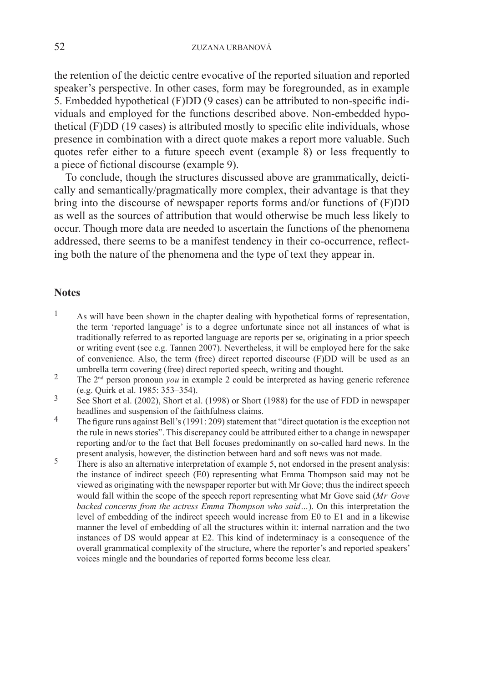the retention of the deictic centre evocative of the reported situation and reported speaker's perspective. In other cases, form may be foregrounded, as in example 5. Embedded hypothetical (F)DD (9 cases) can be attributed to non-specific individuals and employed for the functions described above. Non-embedded hypothetical (F)DD (19 cases) is attributed mostly to specific elite individuals, whose presence in combination with a direct quote makes a report more valuable. Such quotes refer either to a future speech event (example 8) or less frequently to a piece of fictional discourse (example 9).

To conclude, though the structures discussed above are grammatically, deictically and semantically/pragmatically more complex, their advantage is that they bring into the discourse of newspaper reports forms and/or functions of (F)DD as well as the sources of attribution that would otherwise be much less likely to occur. Though more data are needed to ascertain the functions of the phenomena addressed, there seems to be a manifest tendency in their co-occurrence, reflecting both the nature of the phenomena and the type of text they appear in.

### **Notes**

- <sup>1</sup> As will have been shown in the chapter dealing with hypothetical forms of representation, the term 'reported language' is to a degree unfortunate since not all instances of what is traditionally referred to as reported language are reports per se, originating in a prior speech or writing event (see e.g. Tannen 2007). Nevertheless, it will be employed here for the sake of convenience. Also, the term (free) direct reported discourse (F)DD will be used as an umbrella term covering (free) direct reported speech, writing and thought.
- <sup>2</sup> The 2<sup>nd</sup> person pronoun *you* in example 2 could be interpreted as having generic reference (e.g. Quirk et al. 1985: 353–354).
- 3 See Short et al. (2002), Short et al. (1998) or Short (1988) for the use of FDD in newspaper headlines and suspension of the faithfulness claims.
- <sup>4</sup> The figure runs against Bell's (1991: 209) statement that "direct quotation is the exception not the rule in news stories". This discrepancy could be attributed either to a change in newspaper reporting and/or to the fact that Bell focuses predominantly on so-called hard news. In the present analysis, however, the distinction between hard and soft news was not made.
- <sup>5</sup> There is also an alternative interpretation of example 5, not endorsed in the present analysis: the instance of indirect speech (E0) representing what Emma Thompson said may not be viewed as originating with the newspaper reporter but with Mr Gove; thus the indirect speech would fall within the scope of the speech report representing what Mr Gove said (*Mr Gove backed concerns from the actress Emma Thompson who said…*). On this interpretation the level of embedding of the indirect speech would increase from E0 to E1 and in a likewise manner the level of embedding of all the structures within it: internal narration and the two instances of DS would appear at E2. This kind of indeterminacy is a consequence of the overall grammatical complexity of the structure, where the reporter's and reported speakers' voices mingle and the boundaries of reported forms become less clear.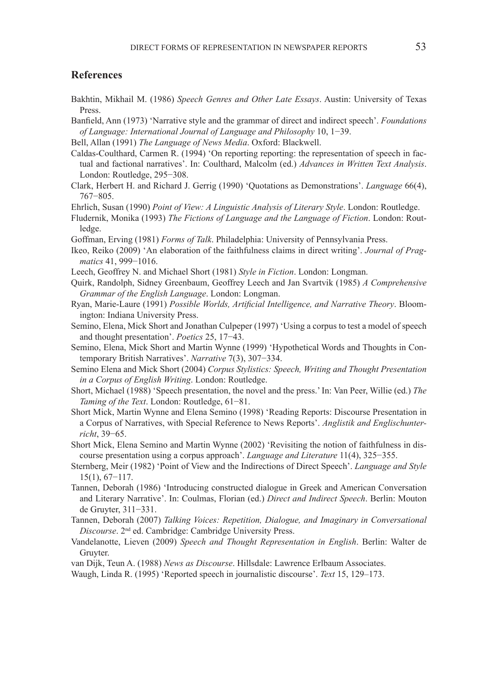## **References**

- Bakhtin, Mikhail M. (1986) *Speech Genres and Other Late Essays*. Austin: University of Texas Press.
- Banfield, Ann (1973) 'Narrative style and the grammar of direct and indirect speech'. *Foundations of Language: International Journal of Language and Philosophy* 10, 1−39.
- Bell, Allan (1991) *The Language of News Media*. Oxford: Blackwell.
- Caldas-Coulthard, Carmen R. (1994) 'On reporting reporting: the representation of speech in factual and factional narratives'. In: Coulthard, Malcolm (ed.) *Advances in Written Text Analysis*. London: Routledge, 295−308.
- Clark, Herbert H. and Richard J. Gerrig (1990) 'Quotations as Demonstrations'. *Language* 66(4), 767−805.
- Ehrlich, Susan (1990) *Point of View: A Linguistic Analysis of Literary Style*. London: Routledge.
- Fludernik, Monika (1993) *The Fictions of Language and the Language of Fiction*. London: Routledge.
- Goffman, Erving (1981) *Forms of Talk*. Philadelphia: University of Pennsylvania Press.
- Ikeo, Reiko (2009) 'An elaboration of the faithfulness claims in direct writing'. *Journal of Pragmatics* 41, 999−1016.
- Leech, Geoffrey N. and Michael Short (1981) *Style in Fiction*. London: Longman.
- Quirk, Randolph, Sidney Greenbaum, Geoffrey Leech and Jan Svartvik (1985) *A Comprehensive Grammar of the English Language*. London: Longman.
- Ryan, Marie-Laure (1991) *Possible Worlds, Artificial Intelligence, and Narrative Theory*. Bloomington: Indiana University Press.
- Semino, Elena, Mick Short and Jonathan Culpeper (1997) 'Using a corpus to test a model of speech and thought presentation'. *Poetics* 25, 17−43.
- Semino, Elena, Mick Short and Martin Wynne (1999) 'Hypothetical Words and Thoughts in Contemporary British Narratives'. *Narrative* 7(3), 307−334.
- Semino Elena and Mick Short (2004) *Corpus Stylistics: Speech, Writing and Thought Presentation in a Corpus of English Writing*. London: Routledge.
- Short, Michael (1988) 'Speech presentation, the novel and the press.' In: Van Peer, Willie (ed.) *The Taming of the Text*. London: Routledge, 61−81.
- Short Mick, Martin Wynne and Elena Semino (1998) 'Reading Reports: Discourse Presentation in a Corpus of Narratives, with Special Reference to News Reports'. *Anglistik and Englischunterricht*, 39−65.
- Short Mick, Elena Semino and Martin Wynne (2002) 'Revisiting the notion of faithfulness in discourse presentation using a corpus approach'. *Language and Literature* 11(4), 325−355.
- Sternberg, Meir (1982) 'Point of View and the Indirections of Direct Speech'. *Language and Style* 15(1), 67−117.
- Tannen, Deborah (1986) 'Introducing constructed dialogue in Greek and American Conversation and Literary Narrative'. In: Coulmas, Florian (ed.) *Direct and Indirect Speech*. Berlin: Mouton de Gruyter, 311−331.
- Tannen, Deborah (2007) *Talking Voices: Repetition, Dialogue, and Imaginary in Conversational Discourse*. 2nd ed. Cambridge: Cambridge University Press.
- Vandelanotte, Lieven (2009) *Speech and Thought Representation in English*. Berlin: Walter de Gruyter.
- van Dijk, Teun A. (1988) *News as Discourse*. Hillsdale: Lawrence Erlbaum Associates.
- Waugh, Linda R. (1995) 'Reported speech in journalistic discourse'. *Text* 15, 129–173.